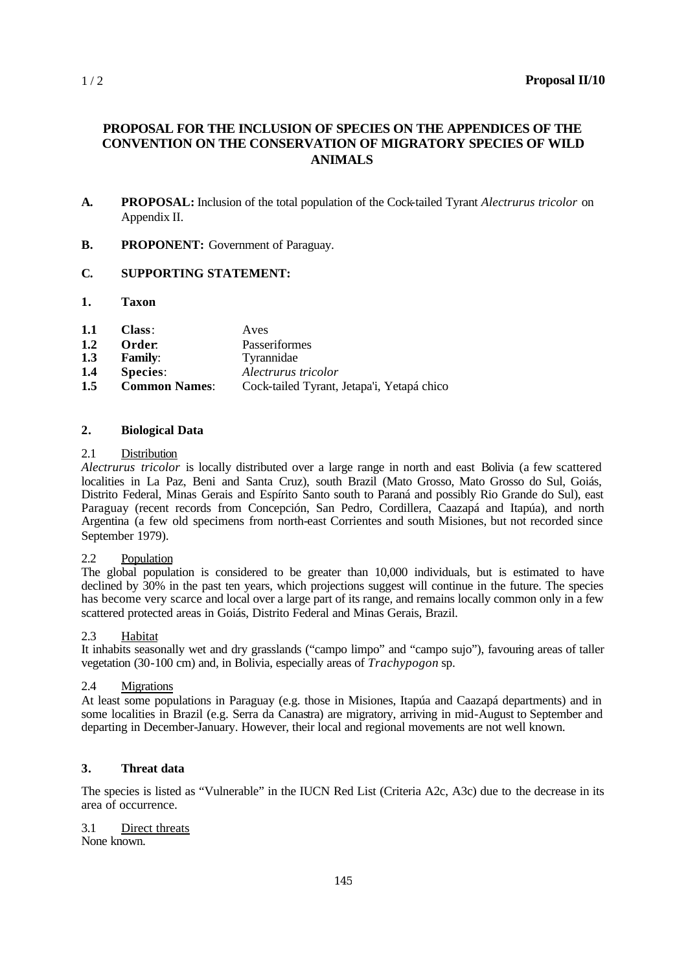# **PROPOSAL FOR THE INCLUSION OF SPECIES ON THE APPENDICES OF THE CONVENTION ON THE CONSERVATION OF MIGRATORY SPECIES OF WILD ANIMALS**

- **A. PROPOSAL:** Inclusion of the total population of the Cock-tailed Tyrant *Alectrurus tricolor* on Appendix II.
- **B. PROPONENT:** Government of Paraguay.

## **C. SUPPORTING STATEMENT:**

**1. Taxon**

| 1.1 | Class: | Aves |
|-----|--------|------|
|     |        |      |

- **1.2 Order**: Passeriformes
- **1.3 Family**: Tyrannidae
- **1.4 Species**: *Alectrurus tricolor*
- **1.5 Common Names**: Cock-tailed Tyrant, Jetapa'i, Yetapá chico

#### **2. Biological Data**

#### 2.1 Distribution

*Alectrurus tricolor* is locally distributed over a large range in north and east Bolivia (a few scattered localities in La Paz, Beni and Santa Cruz), south Brazil (Mato Grosso, Mato Grosso do Sul, Goiás, Distrito Federal, Minas Gerais and Espírito Santo south to Paraná and possibly Rio Grande do Sul), east Paraguay (recent records from Concepción, San Pedro, Cordillera, Caazapá and Itapúa), and north Argentina (a few old specimens from north-east Corrientes and south Misiones, but not recorded since September 1979).

#### 2.2 Population

The global population is considered to be greater than 10,000 individuals, but is estimated to have declined by  $30\%$  in the past ten years, which projections suggest will continue in the future. The species has become very scarce and local over a large part of its range, and remains locally common only in a few scattered protected areas in Goiás, Distrito Federal and Minas Gerais, Brazil.

#### 2.3 Habitat

It inhabits seasonally wet and dry grasslands ("campo limpo" and "campo sujo"), favouring areas of taller vegetation (30-100 cm) and, in Bolivia, especially areas of *Trachypogon* sp.

## 2.4 Migrations

At least some populations in Paraguay (e.g. those in Misiones, Itapúa and Caazapá departments) and in some localities in Brazil (e.g. Serra da Canastra) are migratory, arriving in mid-August to September and departing in December-January. However, their local and regional movements are not well known.

## **3. Threat data**

The species is listed as "Vulnerable" in the IUCN Red List (Criteria A2c, A3c) due to the decrease in its area of occurrence.

3.1 Direct threats None known.